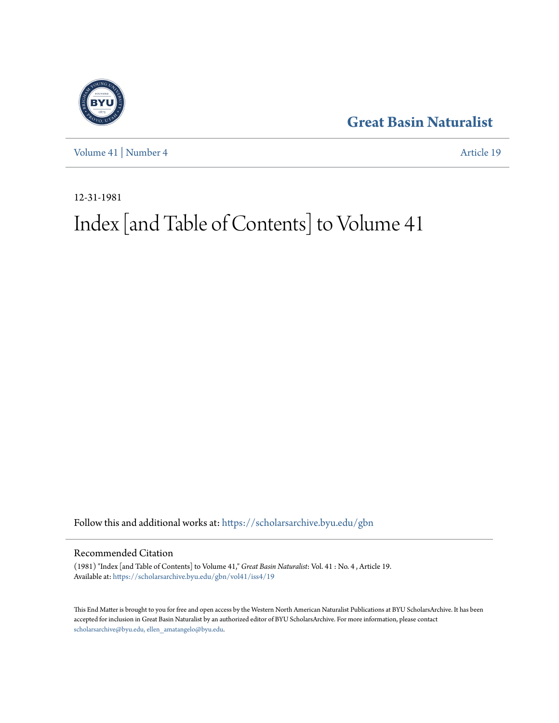



[Volume 41](https://scholarsarchive.byu.edu/gbn/vol41?utm_source=scholarsarchive.byu.edu%2Fgbn%2Fvol41%2Fiss4%2F19&utm_medium=PDF&utm_campaign=PDFCoverPages) | [Number 4](https://scholarsarchive.byu.edu/gbn/vol41/iss4?utm_source=scholarsarchive.byu.edu%2Fgbn%2Fvol41%2Fiss4%2F19&utm_medium=PDF&utm_campaign=PDFCoverPages) [Article 19](https://scholarsarchive.byu.edu/gbn/vol41/iss4/19?utm_source=scholarsarchive.byu.edu%2Fgbn%2Fvol41%2Fiss4%2F19&utm_medium=PDF&utm_campaign=PDFCoverPages)

12-31-1981

# Index [and Table of Contents] to Volume 41

Follow this and additional works at: [https://scholarsarchive.byu.edu/gbn](https://scholarsarchive.byu.edu/gbn?utm_source=scholarsarchive.byu.edu%2Fgbn%2Fvol41%2Fiss4%2F19&utm_medium=PDF&utm_campaign=PDFCoverPages)

### Recommended Citation

(1981) "Index [and Table of Contents] to Volume 41," *Great Basin Naturalist*: Vol. 41 : No. 4 , Article 19. Available at: [https://scholarsarchive.byu.edu/gbn/vol41/iss4/19](https://scholarsarchive.byu.edu/gbn/vol41/iss4/19?utm_source=scholarsarchive.byu.edu%2Fgbn%2Fvol41%2Fiss4%2F19&utm_medium=PDF&utm_campaign=PDFCoverPages)

This End Matter is brought to you for free and open access by the Western North American Naturalist Publications at BYU ScholarsArchive. It has been accepted for inclusion in Great Basin Naturalist by an authorized editor of BYU ScholarsArchive. For more information, please contact [scholarsarchive@byu.edu, ellen\\_amatangelo@byu.edu.](mailto:scholarsarchive@byu.edu,%20ellen_amatangelo@byu.edu)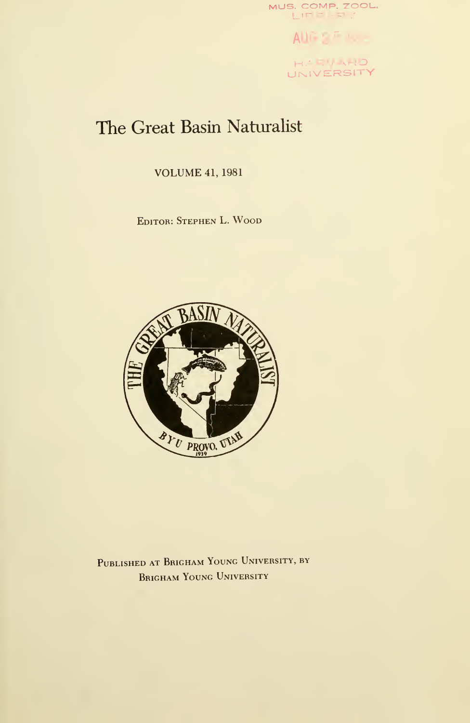

AUG ST NO. HARV ARID

# The Great Basin Naturalist

VOLUME 41, <sup>1981</sup>

Editor: Stephen L. Wood



Published at Brigham Young University, by Brigham Young University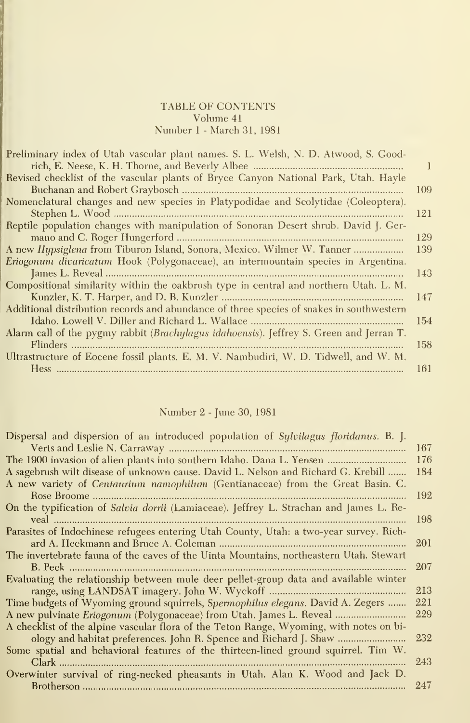#### TABLE OF CONTENTS Volume 41 Number <sup>1</sup> - March 31, 1981

| Preliminary index of Utah vascular plant names. S. L. Welsh, N. D. Atwood, S. Good-      |     |
|------------------------------------------------------------------------------------------|-----|
|                                                                                          |     |
| Revised checklist of the vascular plants of Bryce Canyon National Park, Utah. Hayle      |     |
|                                                                                          | 109 |
| Nomenclatural changes and new species in Platypodidae and Scolytidae (Coleoptera).       |     |
|                                                                                          | 121 |
| Reptile population changes with manipulation of Sonoran Desert shrub. David J. Ger-      |     |
|                                                                                          | 129 |
| A new Hypsiglena from Tiburon Island, Sonora, Mexico. Wilmer W. Tanner                   | 139 |
| Eriogonum divaricatum Hook (Polygonaceae), an intermountain species in Argentina.        |     |
|                                                                                          | 143 |
| Compositional similarity within the oakbrush type in central and northern Utah. L. M.    |     |
|                                                                                          | 147 |
| Additional distribution records and abundance of three species of snakes in southwestern |     |
|                                                                                          | 154 |
| Alarm call of the pygmy rabbit (Brachylagus idahoensis). Jeffrey S. Green and Jerran T.  |     |
|                                                                                          | 158 |
| Ultrastructure of Eocene fossil plants. E. M. V. Nambudiri, W. D. Tidwell, and W. M.     |     |
|                                                                                          | 161 |

# Number 2 - June 30, 1981

| Dispersal and dispersion of an introduced population of Sylvilagus floridanus. B. J.    |      |
|-----------------------------------------------------------------------------------------|------|
|                                                                                         | 167  |
|                                                                                         | -176 |
| A sagebrush wilt disease of unknown cause. David L. Nelson and Richard G. Krebill       | 184  |
| A new variety of Centaurium namophilum (Gentianaceae) from the Great Basin. C.          |      |
|                                                                                         | 192  |
| On the typification of Salvia dorrii (Lamiaceae). Jeffrey L. Strachan and James L. Re-  |      |
|                                                                                         | 198  |
| Parasites of Indochinese refugees entering Utah County, Utah: a two-year survey. Rich-  |      |
|                                                                                         | 201  |
| The invertebrate fauna of the caves of the Uinta Mountains, northeastern Utah. Stewart  |      |
|                                                                                         | 207  |
| Evaluating the relationship between mule deer pellet-group data and available winter    |      |
|                                                                                         | 213  |
| Time budgets of Wyoming ground squirrels, Spermophilus elegans. David A. Zegers         | 221  |
|                                                                                         | 229  |
| A checklist of the alpine vascular flora of the Teton Range, Wyoming, with notes on bi- |      |
| ology and habitat preferences. John R. Spence and Richard J. Shaw                       | 232  |
| Some spatial and behavioral features of the thirteen-lined ground squirrel. Tim W.      |      |
|                                                                                         | 243  |
| Overwinter survival of ring-necked pheasants in Utah. Alan K. Wood and Jack D.          |      |
|                                                                                         | 247  |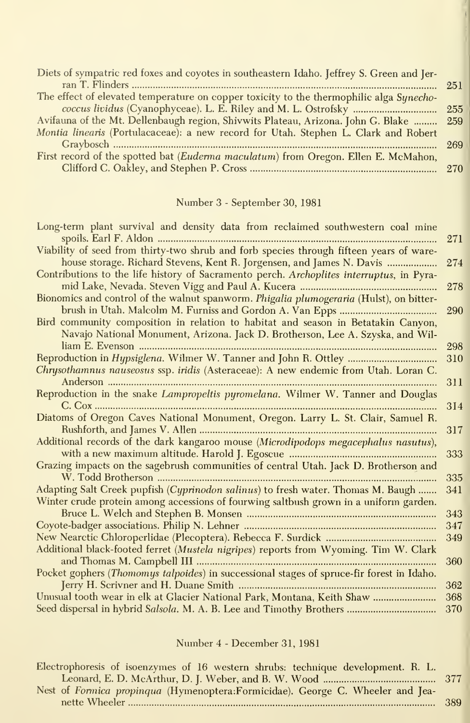| Diets of sympatric red foxes and coyotes in southeastern Idaho. Jeffrey S. Green and Jer- |     |
|-------------------------------------------------------------------------------------------|-----|
|                                                                                           | 251 |
| The effect of elevated temperature on copper toxicity to the thermophilic alga Synecho-   |     |
|                                                                                           |     |
| Avifauna of the Mt. Dellenbaugh region, Shivwits Plateau, Arizona. John G. Blake  259     |     |
| Montia linearis (Portulacaceae): a new record for Utah. Stephen L. Clark and Robert       |     |
|                                                                                           | 269 |
| First record of the spotted bat (Euderma maculatum) from Oregon. Ellen E. McMahon,        |     |
|                                                                                           |     |
|                                                                                           |     |

# Number 3 - September 30, 1981

| Long-term plant survival and density data from reclaimed southwestern coal mine           |     |
|-------------------------------------------------------------------------------------------|-----|
|                                                                                           | 271 |
| Viability of seed from thirty-two shrub and forb species through fifteen years of ware-   |     |
| house storage. Richard Stevens, Kent R. Jorgensen, and James N. Davis                     | 274 |
| Contributions to the life history of Sacramento perch. Archoplites interruptus, in Pyra-  |     |
|                                                                                           | 278 |
| Bionomics and control of the walnut spanworm. Phigalia plumogeraria (Hulst), on bitter-   |     |
|                                                                                           | 290 |
| Bird community composition in relation to habitat and season in Betatakin Canyon,         |     |
| Navajo National Monument, Arizona. Jack D. Brotherson, Lee A. Szyska, and Wil-            |     |
|                                                                                           | 298 |
| Reproduction in <i>Hypsiglena</i> . Wilmer W. Tanner and John R. Ottley                   | 310 |
| Chrysothamnus nauseosus ssp. iridis (Asteraceae): A new endemic from Utah. Loran C.       |     |
|                                                                                           | 311 |
| Reproduction in the snake Lampropeltis pyromelana. Wilmer W. Tanner and Douglas           |     |
|                                                                                           | 314 |
| Diatoms of Oregon Caves National Monument, Oregon. Larry L. St. Clair, Samuel R.          |     |
|                                                                                           | 317 |
| Additional records of the dark kangaroo mouse (Microdipodops megacephalus nasutus),       |     |
|                                                                                           | 333 |
| Grazing impacts on the sagebrush communities of central Utah. Jack D. Brotherson and      |     |
|                                                                                           | 335 |
| Adapting Salt Creek pupfish (Cyprinodon salinus) to fresh water. Thomas M. Baugh          | 341 |
| Winter crude protein among accessions of fourwing saltbush grown in a uniform garden.     |     |
|                                                                                           | 343 |
|                                                                                           | 347 |
|                                                                                           | 349 |
| Additional black-footed ferret (Mustela nigripes) reports from Wyoming. Tim W. Clark      |     |
|                                                                                           | 360 |
| Pocket gophers (Thomomys talpoides) in successional stages of spruce-fir forest in Idaho. |     |
|                                                                                           | 362 |
| Unusual tooth wear in elk at Glacier National Park, Montana, Keith Shaw                   | 368 |
|                                                                                           | 370 |

# Number 4 - December 31, 1981

| Electrophoresis of isoenzymes of 16 western shrubs: technique development. R. L. |     |
|----------------------------------------------------------------------------------|-----|
|                                                                                  |     |
| Nest of Formica propinqua (Hymenoptera:Formicidae). George C. Wheeler and Jea-   |     |
|                                                                                  | 389 |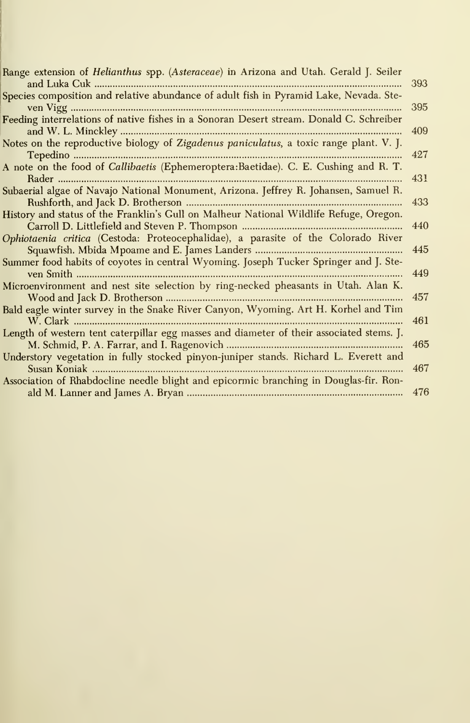| Range extension of Helianthus spp. (Asteraceae) in Arizona and Utah. Gerald J. Seiler       | 393 |
|---------------------------------------------------------------------------------------------|-----|
| Species composition and relative abundance of adult fish in Pyramid Lake, Nevada. Ste-      |     |
|                                                                                             | 395 |
| Feeding interrelations of native fishes in a Sonoran Desert stream. Donald C. Schreiber     |     |
|                                                                                             | 409 |
| Notes on the reproductive biology of Zigadenus paniculatus, a toxic range plant. V. J.      |     |
|                                                                                             | 427 |
| A note on the food of <i>Callibaetis</i> (Ephemeroptera: Baetidae). C. E. Cushing and R. T. |     |
|                                                                                             | 431 |
| Subaerial algae of Navajo National Monument, Arizona. Jeffrey R. Johansen, Samuel R.        |     |
|                                                                                             | 433 |
| History and status of the Franklin's Gull on Malheur National Wildlife Refuge, Oregon.      |     |
|                                                                                             | 440 |
| Ophiotaenia critica (Cestoda: Proteocephalidae), a parasite of the Colorado River           |     |
|                                                                                             | 445 |
| Summer food habits of coyotes in central Wyoming. Joseph Tucker Springer and J. Ste-        |     |
|                                                                                             | 449 |
| Microenvironment and nest site selection by ring-necked pheasants in Utah. Alan K.          |     |
|                                                                                             | 457 |
| Bald eagle winter survey in the Snake River Canyon, Wyoming. Art H. Korhel and Tim          | 461 |
| Length of western tent caterpillar egg masses and diameter of their associated stems. J.    |     |
|                                                                                             | 465 |
| Understory vegetation in fully stocked pinyon-juniper stands. Richard L. Everett and        |     |
|                                                                                             | 467 |
| Association of Rhabdocline needle blight and epicormic branching in Douglas-fir. Ron-       |     |
|                                                                                             | 476 |
|                                                                                             |     |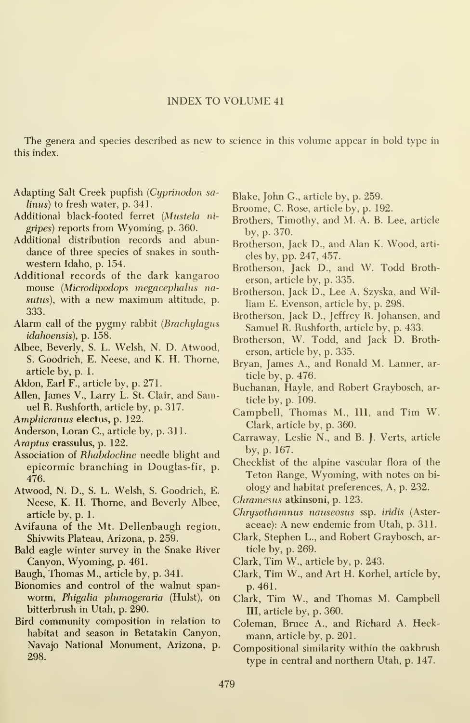The genera and species described as new to science in this volume appear in bold type in this index.

- Adapting Salt Creek pupfish {Cyprinodon sa- $\{linus\}$  to fresh water, p. 341.
- Additional black-footed ferret {Mustela ni gripes) reports from Wyoming, p. 360.
- Additional distribution records and abundance of three species of snakes in south western Idaho, p. 154.
- Additional records of the dark kangaroo mouse {Microdipodops megacephalus nasutus), with <sup>a</sup> new maximum altitude, p. 333.
- Alarm call of the pygmy rabbit {Brachylagus idahoensis), p. 158.
- Albee, Beverly, S. L. Welsh, N. D. Atwood, S. Goodrich, E. Neese, and K. H. Thome, article by, p. 1.
- Aldon, Earl F., article by, p. 271.
- Allen, James V., Larry L. St. Clair, and Samuel R. Rushforth, article by, p. 317.
- Amphicranus electus, p. 122.
- Anderson, Loran C, article by, p. 311.
- Araptus crassulus, p. 122.
- Association of Rhabdocline needle blight and epicormic branching in Douglas-fir, p. 476.
- Atwood, N. D., S. L. Welsh, S. Goodrich, E. Neese, K. H. Thome, and Beverly Albee, article by, p. 1.
- Avifauna of the Mt. Dellenbaugh region, Shivwits Plateau, Arizona, p. 259.
- Bald eagle winter survey in the Snake River Canyon, Wyoming, p. 461.
- Baugh, Thomas M., article by, p. 341.
- Bionomics and control of the walnut span worm, Phigalia plumogeraria (Hulst), on bitterbmsh in Utah, p. 290.
- Bird community composition in relation to habitat and season in Betatakin Canyon, Navajo National Monument, Arizona, p. 298.
- Blake, John G., article by, p. 259.
- Broome, C. Rose, article by, p. 192.
- Brothers, Timothy, and M. A. B. Lee, article by, p. 370.
- Brotherson, Jack D., and Alan K. Wood, arti cles by, pp. 247, 457.
- Brotherson, Jack D., and W. Todd Brotherson, article by, p. 335.
- Brotherson, Jack D., Lee A. Szyska, and William E. Evenson, article by, p. 298.
- Brotherson, Jack D., Jeffrey R. Johansen, and Samuel R. Rushforth, article by, p. 433.
- Brotherson, W. Todd, and Jack D. Brotherson, article by, p. 335.
- Bryan, James A., and Ronald M. Lanner, article by, p. 476.
- Buchanan, Hayle, and Robert Graybosch, article by, p. 109.
- Campbell, Thomas M., Ill, and Tim W. Clark, article by, p. 360.
- Carraway, Leslie N., and B. J. Verts, article by, p. 167.
- Checklist of the alpine vascular flora of the Teton Range, Wyoming, with notes on bi ology and habitat preferences. A, p. 232.
- Chramesus atkinsoni, p. 123.
- Chrysothamnus nauseosus ssp. iridis (Asteraceae): A new endemic from Utah, p. 311.
- Clark, Stephen L., and Robert Graybosch, article by, p. 269.
- Clark, Tim W., article by, p. 243.
- Clark, Tim W., and Art H. Korhel, article by, p. 461.
- Clark, Tim W., and Thomas M. Campbell III, article by, p. 360.
- Coleman, Bruce A., and Richard A. Heckmann, article by, p. 201.
- Compositional similarity within the oakbrush type in central and northern Utah, p. 147.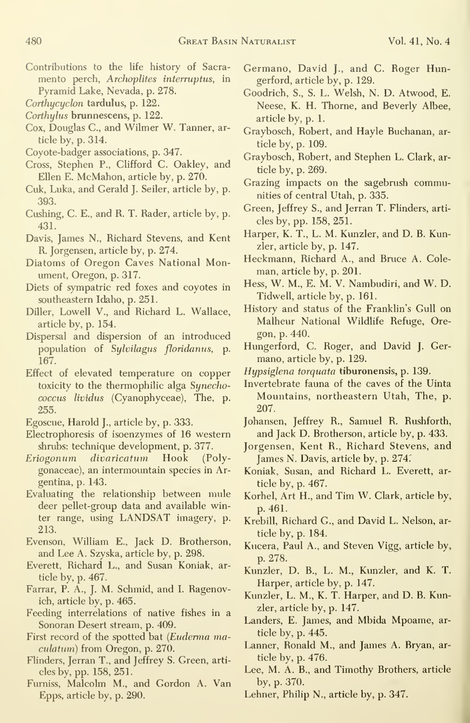- Contributions to the life history of Sacra mento perch, Archoplites interruptus, in Pyramid Lake, Nevada, p. 278.
- Corthycyclon tardulus, p. 122.
- Corthylus brunnescens, p. 122.
- Cox, Douglas C, and Wilmer W. Tanner, article by, p. 314.
- Coyote-badger associations, p. 347.
- Cross, Stephen P., Clifford C. Oakley, and Ellen E. McMahon, article by, p. 270.
- Cuk, Luka, and Gerald J. Seiler, article by, p. 393.
- Gushing, C. E., and R. T. Rader, article by, p. 431.
- Davis, James N., Richard Stevens, and Kent R. Jorgensen, article by, p. 274.
- Diatoms of Oregon Caves National Monument, Oregon, p. 317.
- Diets of sympatric red foxes and coyotes in southeastern Idaho, p. 251.
- Diller, Lowell V., and Richard L. Wallace, article by, p. 154.
- Dispersal and dispersion of an introduced population of Sylvilagus floridanus, p. 167.
- Effect of elevated temperature on copper toxicity to the thermophilic alga Synechococcus lividus (Cyanophyceae), The, p. 255.
- Egoscue, Harold J., article by, p. 333.
- Electrophoresis of isoenzymes of 16 western shrubs: technique development, p. 377.
- Eriogonum divaricatum Hook (Polygonaceae), an intermountain species in Argentina, p. 143.
- Evaluating the relationship between mule deer pellet-group data and available winter range, using LANDSAT imagery, p. 213.
- Evenson, William E., Jack D. Brotherson, and Lee A. Szyska, article by, p. 298.
- Everett, Richard L., and Susan Koniak, article by, p. 467.
- Farrar, P. A., J. M. Schmid, and I. Ragenovich, article by, p. 465.
- Feeding interrelations of native fishes in a Sonoran Desert stream, p. 409.
- First record of the spotted bat (Euderma maculatum) from Oregon, p. 270.
- Flinders, Jerran T., and Jeffrey S. Green, arti cles by, pp. 158,251.
- Fumiss, Malcolm M., and Gordon A. Van Epps, article by, p. 290.
- Germano, David J., and C. Roger Hungerford, article by, p. 129.
- Goodrich, S., S. L. Welsh, N. D. Atwood, E. Neese, K. H. Thome, and Beverly Albee, article by, p. 1.
- Graybosch, Robert, and Hayle Buchanan, article by, p. 109.
- Graybosch, Robert, and Stephen L. Clark, article by, p. 269.
- Grazing impacts on the sagebrush communities of central Utah, p. 335.
- Green, Jeffrey S., and Jerran T. Flinders, arti cles by, pp. 158,251.
- Harper, K. T., L. M. Kunzler, and D. B. Kunzler, article by, p. 147.
- Heckmann, Richard A., and Bruce A. Coleman, article by, p. 201.
- Hess, W. M., E. M. V. Nambudiri, and W. D. Tidwell, article by, p. 161.
- History and status of the Franklin's Gull on Malheur National Wildlife Refuge, Oregon, p. 440.
- Hungerford, C. Roger, and David J. Germano, article by, p. 129.
- Hypsiglena torquata tiburonensis, p. 139.
- Invertebrate fauna of the caves of the Uinta Mountains, northeastern Utah, The, p. 207.
- Johansen, Jeffrey R., Samuel R. Rushforth, and Jack D. Brotherson, article by, p. 433.
- Jorgensen, Kent R., Richard Stevens, and James N. Davis, article by, p. 274.
- Koniak, Susan, and Richard L. Everett, article by, p. 467.
- Korhel, Art H., and Tim W. Clark, article by, p. 461.
- Krebill, Richard G., and David L. Nelson, article by, p. 184.
- Kucera, Paul A., and Steven Vigg, article by, p. 278.
- Kunzler, D. B., L. M., Kunzler, and K. T. Harper, article by, p. 147.
- Kunzler, L. M., K. T. Harper, and D. B. Kunzler, article by, p. 147.
- Landers, E. James, and Mbida Mpoame, article by, p. 445.
- Lanner, Ronald M., and James A. Bryan, article by, p. 476.
- Lee, M. A. B., and Timothy Brothers, article by, p. 370.
- Lehner, Philip N., article by, p. 347.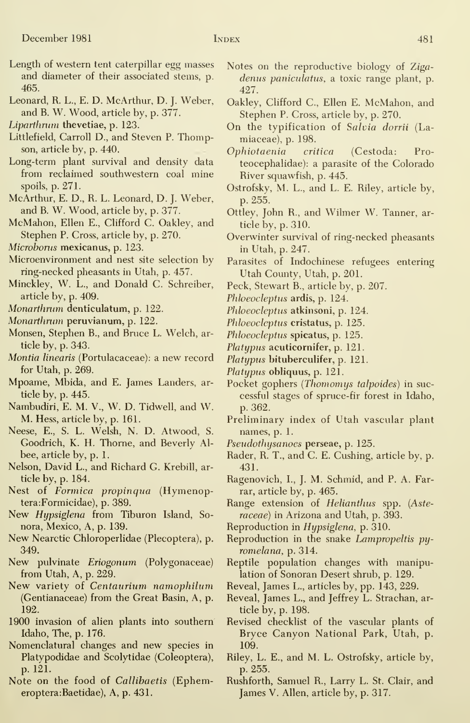- Length of western tent caterpillar egg masses and diameter of their associated stems, p. 465.
- Leonard, R. L., E. D. McArthur, D. J. Weber, and B. W. Wood, article by, p. 377.
- Liparthrurn thevetiae, p. 123.
- Littlefield, Carroll D., and Steven P. Thompson, article by, p. 440.
- Long-term plant survival and density data from reclaimed southwestern coal mine spoils, p. 271.
- McArthur, E. D., R. L. Leonard, D. J. Weber, and B. W. Wood, article by, p. 377.
- McMahon, Ellen E., Clifford C. Oakley, and Stephen P. Cross, article by, p. 270.
- Microborus mexicanus, p. 123.
- Microenvironment and nest site selection by ring-necked pheasants in Utah, p. 457.
- Minckley, W. L., and Donald C. Schreiber, article by, p. 409.
- Monarthrum denticulatum, p. 122.
- Monarthrum peruvianum, p. 122.
- Monsen, Stephen B., and Bruce L. Welch, article by, p. 343.
- Montia linearis (Portulacaceae): a new record for Utah, p. 269.
- Mpoame, Mbida, and E. James Landers, article by, p. 445.
- Nambudiri, E. M. V., W. D. Tidwell, and W. M. Hess, article by, p. 161.
- Neese, E., S. L. Welsh, N. D. Atwood, S. Goodrich, K. H. Thome, and Beverly Al bee, article by, p. 1.
- Nelson, David L., and Richard G. Krebill, article by, p. 184.
- Nest of Formica propinqua (Hymenoptera:Formicidae), p. 389.
- New Hypsiglena from Tiburon Island, Sonora, Mexico, A, p. 139.
- New Nearctic Chloroperlidae (Plecoptera), p. 349.
- New pulvinate Eriogonum (Polygonaceae) from Utah, A, p. 229.
- New variety of Centaurium namophilum (Gentianaceae) from the Great Basin, A, p. 192.
- 1900 invasion of alien plants into southern Idaho, The, p. 176.
- Nomenclatural changes and new species in Platypodidae and Scolytidae (Coleoptera), p. 121.
- Note on the food of Callibaetis (Ephemeroptera:Baetidae), A, p. 431.
- Notes on the reproductive biology of Zigadenus paniculatus, a toxic range plant, p. 427.
- Oakley, Clifford C, Ellen E. McMahon, and Stephen P. Cross, article by, p. 270.
- On the typification of Salvia dorrii (Lamiaceae), p. 198.
- Ophiotaenia critica (Cestoda: Proteocephalidae): a parasite of the Colorado River squawfish, p. 445.
- Ostrofsky, M. L., and L. E. Riley, article by, p. 255.
- Ottley, John R., and Wilmer W. Tanner, article by, p. 310.
- Overwinter survival of ring-necked pheasants in Utah, p. 247.
- Parasites of Indochinese refugees entering Utah County, Utah, p. 201.
- Peck, Stewart B., article by, p. 207.
- Phloeocleptus ardis, p. 124.
- Phloeocleptus atkinsoni, p. 124.
- Phloeocleptus cristatus, p. 125.
- Phloeocleptus spicatus, p. 125.
- Platypus acuticornifer, p. 121.
- Platypus bituberculifer, p. 121.
- Platypus obliquus, p. 121.
- Pocket gophers (Thomomys talpoides) in successful stages of spruce-fir forest in Idaho, p. 362.
- Preliminary index of Utah vascular plant names, p. 1.
- Pseudothysanoes perseae, p. 125.
- Rader, R. T., and C. E. Gushing, article by, p. 431.
- Ragenovich, I., J. M. Schmid, and P. A. Farrar, article by, p. 465.
- Range extension of Helianthus spp. {Asteraceae) in Arizona and Utah, p. 393.
- Reproduction in Hypsiglena, p. 310.
- Reproduction in the snake Lampropeltis py romelana, p. 314.
- Reptile population changes with manipulation of Sonoran Desert shrub, p. 129.
- Reveal, James L., articles by, pp. 143, 229.
- Reveal, James L., and Jeffrey L. Strachan, article by, p. 198.
- Revised checklist of the vascular plants of Bryce Canyon National Park, Utah, p. 109.
- Riley, L. E., and M. L. Ostrofsky, article by, p. 255.
- Rushforth, Samuel R., Larry L. St. Clair, and James V. Allen, article by, p. 317.